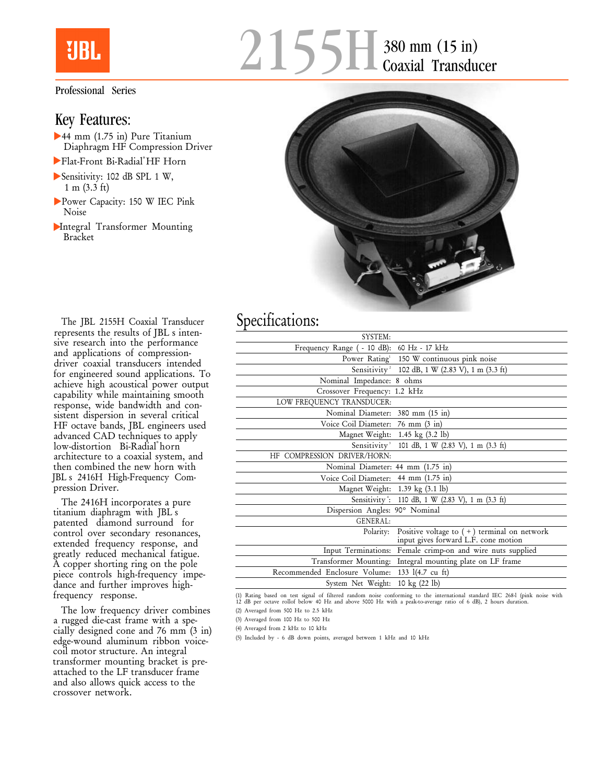## MRI.

## Professional Series

## Key Features:

- 44 mm (1.75 in) Pure Titanium Diaphragm HF Compression Driver
- Flat-Front Bi-Radial® HF Horn
- Sensitivity: 102 dB SPL 1 W, 1 m (3.3 ft)
- Power Capacity: 150 W IEC Pink Noise
- Integral Transformer Mounting Bracket





The JBL 2155H Coaxial Transducer represents the results of JBL s intensive research into the performance and applications of compressiondriver coaxial transducers intended for engineered sound applications. To achieve high acoustical power output capability while maintaining smooth response, wide bandwidth and consistent dispersion in several critical HF octave bands, JBL engineers used advanced CAD techniques to apply low-distortion Bi-Radial®horn architecture to a coaxial system, and then combined the new horn with JBL's 2416H High-Frequency Compression Driver.

The 2416H incorporates a pure titanium diaphragm with JBL's patented diamond surround for control over secondary resonances, extended frequency response, and greatly reduced mechanical fatigue. A copper shorting ring on the pole piece controls high-frequency impedance and further improves highfrequency response.

The low frequency driver combines a rugged die-cast frame with a specially designed cone and 76 mm (3 in) edge-wound aluminum ribbon voicecoil motor structure. An integral transformer mounting bracket is preattached to the LF transducer frame and also allows quick access to the crossover network.

## Specifications:

| Frequency Range ( - 10 dB): 60 Hz - 17 kHz                                                         |
|----------------------------------------------------------------------------------------------------|
| Power Rating <sup>1</sup> 150 W continuous pink noise                                              |
| Sensitivity <sup>2</sup> 102 dB, 1 W (2.83 V), 1 m (3.3 ft)                                        |
| Nominal Impedance: 8 ohms                                                                          |
| Crossover Frequency: 1.2 kHz                                                                       |
|                                                                                                    |
| Nominal Diameter: 380 mm (15 in)                                                                   |
| Voice Coil Diameter: 76 mm (3 in)                                                                  |
| Magnet Weight: 1.45 kg (3.2 lb)                                                                    |
| Sensitivity <sup>3</sup><br>101 dB, 1 W (2.83 V), 1 m (3.3 ft)                                     |
|                                                                                                    |
| Nominal Diameter: 44 mm (1.75 in)                                                                  |
| Voice Coil Diameter: 44 mm (1.75 in)                                                               |
| Magnet Weight: 1.39 kg (3.1 lb)                                                                    |
| Sensitivity: 110 dB, 1 W (2.83 V), 1 m (3.3 ft)                                                    |
| Dispersion Angles: 90° Nominal                                                                     |
|                                                                                                    |
| Positive voltage to $(+)$ terminal on network<br>Polarity:<br>input gives forward L.F. cone motion |
| Input Terminations: Female crimp-on and wire nuts supplied                                         |
| Transformer Mounting: Integral mounting plate on LF frame                                          |
| Recommended Enclosure Volume:<br>133 l(4.7 cu ft)                                                  |
| System Net Weight: 10 kg (22 lb)                                                                   |
|                                                                                                    |

(1) Rating based on test signal of filtered random noise conforming to the international standard IEC 268-l (pink noise with 12 dB per octave rollof below 40 Hz and above 5000 Hz with a peak-to-average ratio of 6 dB), 2 hours duration.

(2) Averaged from 500 Hz to 2.5 kHz

(3) Averaged from 100 Hz to 500 Hz

(4) Averaged from 2 kHz to 10 kHz

(5) Included by - 6 dB down points, averaged between 1 kHz and 10 kHz